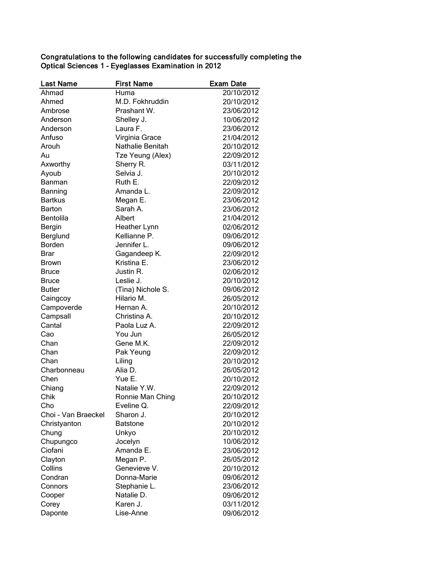| <b>Last Name</b>           | <b>First Name</b> | <b>Exam Date</b> |
|----------------------------|-------------------|------------------|
| Ahmad                      | Huma              | 20/10/2012       |
| Ahmed                      | M.D. Fokhruddin   | 20/10/2012       |
| Ambrose                    | Prashant W.       | 23/06/2012       |
| Anderson                   | Shelley J.        | 10/06/2012       |
| Anderson                   | Laura F.          | 23/06/2012       |
| Anfuso                     | Virginia Grace    | 21/04/2012       |
| Arouh                      | Nathalie Benitah  | 20/10/2012       |
| Au                         | Tze Yeung (Alex)  | 22/09/2012       |
| Axworthy                   | Sherry R.         | 03/11/2012       |
| Ayoub                      | Selvia J.         | 20/10/2012       |
| Banman                     | Ruth E.           | 22/09/2012       |
| Banning                    | Amanda L.         | 22/09/2012       |
| <b>Bartkus</b>             | Megan E.          | 23/06/2012       |
| Barton                     | Sarah A.          | 23/06/2012       |
| <b>Bentolila</b>           | Albert            | 21/04/2012       |
| Bergin                     | Heather Lynn      | 02/06/2012       |
| Berglund                   | Kellianne P.      | 09/06/2012       |
| <b>Borden</b>              | Jennifer L.       | 09/06/2012       |
| <b>Brar</b>                | Gagandeep K.      | 22/09/2012       |
| <b>Brown</b>               | Kristina E.       | 23/06/2012       |
| <b>Bruce</b>               | Justin R.         | 02/06/2012       |
| <b>Bruce</b>               | Leslie J.         | 20/10/2012       |
| <b>Butler</b>              | (Tina) Nichole S. | 09/06/2012       |
| Caingcoy                   | Hilario M.        | 26/05/2012       |
| Campoverde                 | Hernan A.         | 20/10/2012       |
| Campsall                   | Christina A.      | 20/10/2012       |
| Cantal                     | Paola Luz A.      | 22/09/2012       |
| Cao                        | You Jun           | 26/05/2012       |
| Chan                       | Gene M.K.         | 22/09/2012       |
| Chan                       | Pak Yeung         | 22/09/2012       |
| Chan                       | Liling            | 20/10/2012       |
| Charbonneau                | Alia D.           | 26/05/2012       |
| Chen                       | Yue E.            | 20/10/2012       |
| Chiang                     | Natalie Y.W.      | 22/09/2012       |
| Chik                       | Ronnie Man Ching  | 20/10/2012       |
|                            | Eveline Q.        | 22/09/2012       |
| Cho<br>Choi - Van Braeckel | Sharon J.         | 20/10/2012       |
|                            | <b>Batstone</b>   | 20/10/2012       |
| Christyanton               |                   | 20/10/2012       |
| Chung                      | Unkyo             | 10/06/2012       |
| Chupungco                  | Jocelyn           |                  |
| Ciofani                    | Amanda E.         | 23/06/2012       |
| Clayton                    | Megan P.          | 26/05/2012       |
| Collins                    | Genevieve V.      | 20/10/2012       |
| Condran                    | Donna-Marie       | 09/06/2012       |
| Connors                    | Stephanie L.      | 23/06/2012       |
| Cooper                     | Natalie D.        | 09/06/2012       |
| Corey                      | Karen J.          | 03/11/2012       |
| Daponte                    | Lise-Anne         | 09/06/2012       |

## Congratulations to the following candidates for successfully completing the Optical Sciences 1 - Eyeglasses Examination in 2012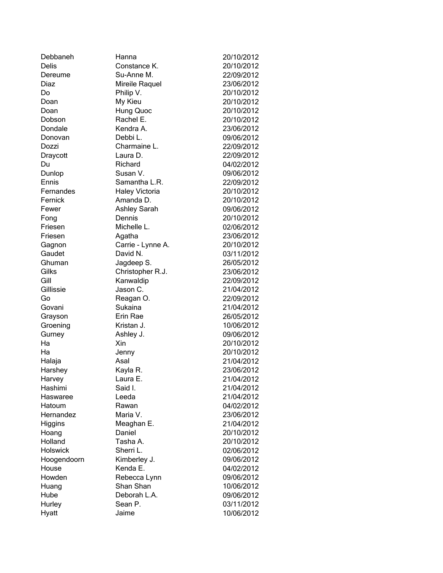| Debbaneh    | Hanna                 | 20/10/2012 |
|-------------|-----------------------|------------|
| Delis       | Constance K.          | 20/10/2012 |
| Dereume     | Su-Anne M.            | 22/09/2012 |
| Diaz        | Mireile Raquel        | 23/06/2012 |
| Do          | Philip V.             | 20/10/2012 |
| Doan        | My Kieu               | 20/10/2012 |
| Doan        | Hung Quoc             | 20/10/2012 |
| Dobson      | Rachel E.             | 20/10/2012 |
| Dondale     | Kendra A.             | 23/06/2012 |
| Donovan     | Debbi L.              | 09/06/2012 |
| Dozzi       | Charmaine L.          | 22/09/2012 |
| Draycott    | Laura D.              | 22/09/2012 |
| Du          | Richard               | 04/02/2012 |
| Dunlop      | Susan V.              | 09/06/2012 |
| Ennis       | Samantha L.R.         | 22/09/2012 |
| Fernandes   | <b>Haley Victoria</b> | 20/10/2012 |
| Fernick     | Amanda D.             | 20/10/2012 |
| Fewer       | <b>Ashley Sarah</b>   | 09/06/2012 |
| Fong        | Dennis                | 20/10/2012 |
| Friesen     | Michelle L.           | 02/06/2012 |
| Friesen     | Agatha                | 23/06/2012 |
| Gagnon      | Carrie - Lynne A.     | 20/10/2012 |
| Gaudet      | David N.              | 03/11/2012 |
| Ghuman      | Jagdeep S.            | 26/05/2012 |
| Gilks       | Christopher R.J.      | 23/06/2012 |
| Gill        | Kanwaldip             | 22/09/2012 |
| Gillissie   | Jason C.              | 21/04/2012 |
| Go          | Reagan O.             | 22/09/2012 |
| Govani      | Sukaina               | 21/04/2012 |
| Grayson     | Erin Rae              | 26/05/2012 |
| Groening    | Kristan J.            | 10/06/2012 |
| Gurney      | Ashley J.             | 09/06/2012 |
| Ha          | Xin                   | 20/10/2012 |
| Ha          | Jenny                 | 20/10/2012 |
| Halaja      | Asal                  | 21/04/2012 |
| Harshey     | Kayla R.              | 23/06/2012 |
| Harvey      | Laura E.              | 21/04/2012 |
| Hashimi     | Said I.               | 21/04/2012 |
| Haswaree    | Leeda                 | 21/04/2012 |
| Hatoum      | Rawan                 | 04/02/2012 |
| Hernandez   | Maria V.              | 23/06/2012 |
| Higgins     | Meaghan E.            | 21/04/2012 |
| Hoang       | Daniel                | 20/10/2012 |
| Holland     | Tasha A.              | 20/10/2012 |
| Holswick    | Sherri L.             | 02/06/2012 |
| Hoogendoorn | Kimberley J.          | 09/06/2012 |
| House       | Kenda E.              | 04/02/2012 |
| Howden      | Rebecca Lynn          | 09/06/2012 |
| Huang       | Shan Shan             | 10/06/2012 |
| Hube        | Deborah L.A.          | 09/06/2012 |
| Hurley      | Sean P.               | 03/11/2012 |
| Hyatt       | Jaime                 | 10/06/2012 |
|             |                       |            |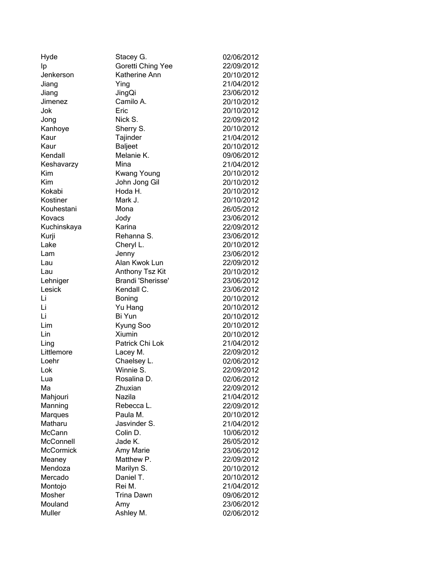| Hyde             | Stacey G.          | 02/06/2012 |
|------------------|--------------------|------------|
| Ip               | Goretti Ching Yee  | 22/09/2012 |
| Jenkerson        | Katherine Ann      | 20/10/2012 |
| Jiang            | Ying               | 21/04/2012 |
| Jiang            | JingQi             | 23/06/2012 |
| Jimenez          | Camilo A.          | 20/10/2012 |
| Jok              | Eric               | 20/10/2012 |
| Jong             | Nick S.            | 22/09/2012 |
| Kanhoye          | Sherry S.          | 20/10/2012 |
| Kaur             | Tajinder           | 21/04/2012 |
| Kaur             | <b>Baljeet</b>     | 20/10/2012 |
| Kendall          | Melanie K.         | 09/06/2012 |
| Keshavarzy       | Mina               | 21/04/2012 |
| Kim              | <b>Kwang Young</b> | 20/10/2012 |
| Kim              | John Jong Gil      | 20/10/2012 |
| Kokabi           | Hoda H.            | 20/10/2012 |
| Kostiner         | Mark J.            | 20/10/2012 |
| Kouhestani       | Mona               | 26/05/2012 |
| Kovacs           | Jody               | 23/06/2012 |
| Kuchinskaya      | Karina             | 22/09/2012 |
| Kurji            | Rehanna S.         | 23/06/2012 |
| Lake             | Cheryl L.          | 20/10/2012 |
| Lam              | Jenny              | 23/06/2012 |
| Lau              | Alan Kwok Lun      | 22/09/2012 |
| Lau              | Anthony Tsz Kit    | 20/10/2012 |
| Lehniger         | Brandi 'Sherisse'  | 23/06/2012 |
| Lesick           | Kendall C.         | 23/06/2012 |
| Li               | Boning             | 20/10/2012 |
| Li               | Yu Hang            | 20/10/2012 |
| Li               | Bi Yun             | 20/10/2012 |
| Lim              | Kyung Soo          | 20/10/2012 |
| Lin              | Xiumin             | 20/10/2012 |
| Ling             | Patrick Chi Lok    | 21/04/2012 |
| Littlemore       | Lacey M.           | 22/09/2012 |
| Loehr            | Chaelsey L.        | 02/06/2012 |
| Lok              | Winnie S.          | 22/09/2012 |
| Lua              | Rosalina D.        | 02/06/2012 |
| Мa               | Zhuxian            | 22/09/2012 |
| Mahjouri         | Nazila             | 21/04/2012 |
| Manning          | Rebecca L.         | 22/09/2012 |
| <b>Marques</b>   | Paula M.           | 20/10/2012 |
| Matharu          | Jasvinder S.       | 21/04/2012 |
| McCann           | Colin D.           | 10/06/2012 |
| McConnell        | Jade K.            | 26/05/2012 |
| <b>McCormick</b> | Amy Marie          | 23/06/2012 |
| Meaney           | Matthew P.         | 22/09/2012 |
| Mendoza          | Marilyn S.         | 20/10/2012 |
| Mercado          | Daniel T.          | 20/10/2012 |
| Montojo          | Rei M.             | 21/04/2012 |
| Mosher           | <b>Trina Dawn</b>  | 09/06/2012 |
| Mouland          | Amy                | 23/06/2012 |
| Muller           | Ashley M.          | 02/06/2012 |
|                  |                    |            |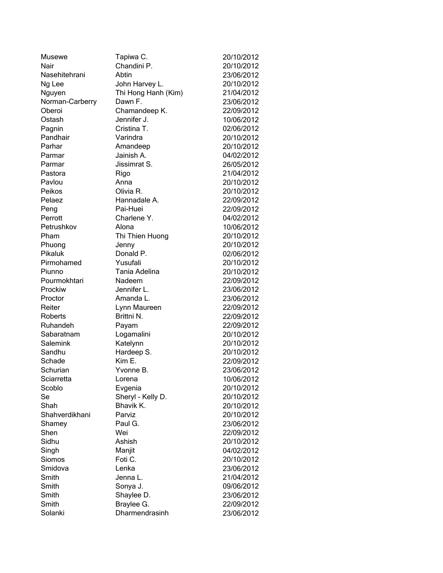| Musewe          | Tapiwa C.           | 20/10/2012 |
|-----------------|---------------------|------------|
| Nair            | Chandini P.         | 20/10/2012 |
| Nasehitehrani   | Abtin               | 23/06/2012 |
| Ng Lee          | John Harvey L.      | 20/10/2012 |
| Nguyen          | Thi Hong Hanh (Kim) | 21/04/2012 |
| Norman-Carberry | Dawn F.             | 23/06/2012 |
| Oberoi          | Chamandeep K.       | 22/09/2012 |
| Ostash          | Jennifer J.         | 10/06/2012 |
| Pagnin          | Cristina T.         | 02/06/2012 |
| Pandhair        | Varindra            | 20/10/2012 |
| Parhar          | Amandeep            | 20/10/2012 |
| Parmar          | Jainish A.          | 04/02/2012 |
| Parmar          | Jissimrat S.        | 26/05/2012 |
| Pastora         | Rigo                | 21/04/2012 |
| Pavlou          | Anna                | 20/10/2012 |
| Peikos          | Olivia R.           | 20/10/2012 |
| Pelaez          | Hannadale A.        | 22/09/2012 |
| Peng            | Pai-Huei            | 22/09/2012 |
| Perrott         | Charlene Y.         | 04/02/2012 |
| Petrushkov      | Alona               | 10/06/2012 |
| Pham            | Thi Thien Huong     | 20/10/2012 |
| Phuong          | Jenny               | 20/10/2012 |
| Pikaluk         | Donald P.           | 02/06/2012 |
| Pirmohamed      | Yusufali            | 20/10/2012 |
| Piunno          | Tania Adelina       | 20/10/2012 |
| Pourmokhtari    | Nadeem              | 22/09/2012 |
| Prockiw         | Jennifer L.         | 23/06/2012 |
| Proctor         | Amanda L.           | 23/06/2012 |
| Reiter          | Lynn Maureen        | 22/09/2012 |
| Roberts         | Brittni N.          | 22/09/2012 |
| Ruhandeh        | Payam               | 22/09/2012 |
| Sabaratnam      | Logamalini          | 20/10/2012 |
| Salemink        | Katelynn            | 20/10/2012 |
| Sandhu          | Hardeep S.          | 20/10/2012 |
| Schade          | Kim E.              | 22/09/2012 |
| Schurian        | Yvonne B.           | 23/06/2012 |
| Sciarretta      | Lorena              | 10/06/2012 |
| Scoblo          | Evgenia             | 20/10/2012 |
| Se              | Sheryl - Kelly D.   | 20/10/2012 |
| Shah            | Bhavik K.           | 20/10/2012 |
| Shahverdikhani  | Parviz              | 20/10/2012 |
| Shamey          | Paul G.             | 23/06/2012 |
| Shen            | Wei                 | 22/09/2012 |
| Sidhu           | Ashish              | 20/10/2012 |
| Singh           | Manjit              | 04/02/2012 |
| Siomos          | Foti C.             | 20/10/2012 |
| Smidova         | Lenka               | 23/06/2012 |
| Smith           | Jenna L.            | 21/04/2012 |
| Smith           | Sonya J.            | 09/06/2012 |
| Smith           | Shaylee D.          | 23/06/2012 |
| Smith           | Braylee G.          | 22/09/2012 |
| Solanki         | Dharmendrasinh      | 23/06/2012 |